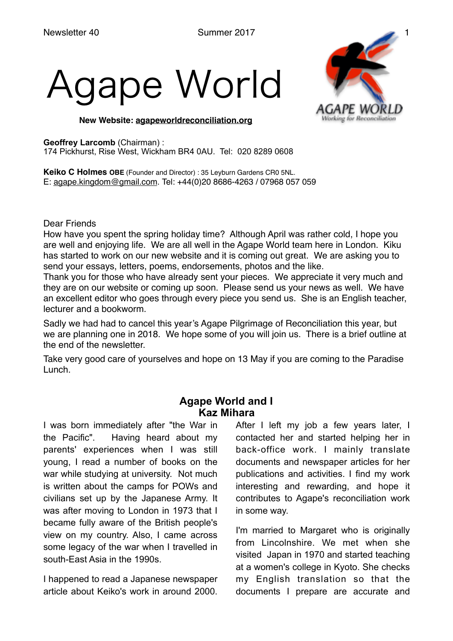# gape World



**New Website: [agapeworldreconciliation.org](http://agapeworldreconciliation.org)**

## **Geoffrey Larcomb** (Chairman) :

174 Pickhurst, Rise West, Wickham BR4 0AU. Tel: 020 8289 0608

**Keiko C Holmes OBE** (Founder and Director) : 35 Leyburn Gardens CR0 5NL. E: [agape.kingdom@gmail.com.](mailto:agape.kingdom@gmail.com) Tel: +44(0)20 8686-4263 / 07968 057 059

Dear Friends

How have you spent the spring holiday time? Although April was rather cold, I hope you are well and enjoying life. We are all well in the Agape World team here in London. Kiku has started to work on our new website and it is coming out great. We are asking you to send your essays, letters, poems, endorsements, photos and the like.

Thank you for those who have already sent your pieces. We appreciate it very much and they are on our website or coming up soon. Please send us your news as well. We have an excellent editor who goes through every piece you send us. She is an English teacher, lecturer and a bookworm.

Sadly we had had to cancel this year's Agape Pilgrimage of Reconciliation this year, but we are planning one in 2018. We hope some of you will join us. There is a brief outline at the end of the newsletter.

Take very good care of yourselves and hope on 13 May if you are coming to the Paradise Lunch.

# **Agape World and I Kaz Mihara**

I was born immediately after "the War in the Pacific". Having heard about my parents' experiences when I was still young, I read a number of books on the war while studying at university. Not much is written about the camps for POWs and civilians set up by the Japanese Army. It was after moving to London in 1973 that I became fully aware of the British people's view on my country. Also, I came across some legacy of the war when I travelled in south-East Asia in the 1990s.

I happened to read a Japanese newspaper article about Keiko's work in around 2000. After I left my job a few years later, I contacted her and started helping her in back-office work. I mainly translate documents and newspaper articles for her publications and activities. I find my work interesting and rewarding, and hope it contributes to Agape's reconciliation work in some way.

I'm married to Margaret who is originally from Lincolnshire. We met when she visited Japan in 1970 and started teaching at a women's college in Kyoto. She checks my English translation so that the documents I prepare are accurate and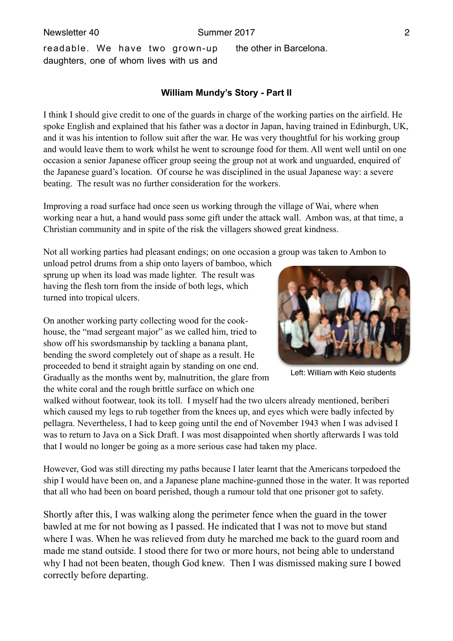the other in Barcelona.

readable. We have two grown-up daughters, one of whom lives with us and

**William Mundy's Story - Part II**

I think I should give credit to one of the guards in charge of the working parties on the airfield. He spoke English and explained that his father was a doctor in Japan, having trained in Edinburgh, UK, and it was his intention to follow suit after the war. He was very thoughtful for his working group and would leave them to work whilst he went to scrounge food for them. All went well until on one occasion a senior Japanese officer group seeing the group not at work and unguarded, enquired of the Japanese guard's location. Of course he was disciplined in the usual Japanese way: a severe beating. The result was no further consideration for the workers.

Improving a road surface had once seen us working through the village of Wai, where when working near a hut, a hand would pass some gift under the attack wall. Ambon was, at that time, a Christian community and in spite of the risk the villagers showed great kindness.

Not all working parties had pleasant endings; on one occasion a group was taken to Ambon to

unload petrol drums from a ship onto layers of bamboo, which sprung up when its load was made lighter. The result was having the flesh torn from the inside of both legs, which turned into tropical ulcers.

On another working party collecting wood for the cookhouse, the "mad sergeant major" as we called him, tried to show off his swordsmanship by tackling a banana plant, bending the sword completely out of shape as a result. He proceeded to bend it straight again by standing on one end. Gradually as the months went by, malnutrition, the glare from the white coral and the rough brittle surface on which one

walked without footwear, took its toll. I myself had the two ulcers already mentioned, beriberi which caused my legs to rub together from the knees up, and eyes which were badly infected by pellagra. Nevertheless, I had to keep going until the end of November 1943 when I was advised I was to return to Java on a Sick Draft. I was most disappointed when shortly afterwards I was told that I would no longer be going as a more serious case had taken my place.

However, God was still directing my paths because I later learnt that the Americans torpedoed the ship I would have been on, and a Japanese plane machine-gunned those in the water. It was reported that all who had been on board perished, though a rumour told that one prisoner got to safety.

Shortly after this, I was walking along the perimeter fence when the guard in the tower bawled at me for not bowing as I passed. He indicated that I was not to move but stand where I was. When he was relieved from duty he marched me back to the guard room and made me stand outside. I stood there for two or more hours, not being able to understand why I had not been beaten, though God knew. Then I was dismissed making sure I bowed correctly before departing.



Left: William with Keio students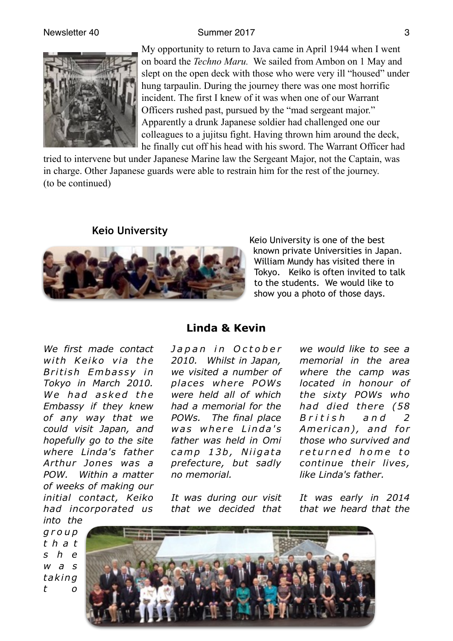## Newsletter 40 Summer 2017



My opportunity to return to Java came in April 1944 when I went on board the *Techno Maru.* We sailed from Ambon on 1 May and slept on the open deck with those who were very ill "housed" under hung tarpaulin. During the journey there was one most horrific incident. The first I knew of it was when one of our Warrant Officers rushed past, pursued by the "mad sergeant major." Apparently a drunk Japanese soldier had challenged one our colleagues to a jujitsu fight. Having thrown him around the deck, he finally cut off his head with his sword. The Warrant Officer had

tried to intervene but under Japanese Marine law the Sergeant Major, not the Captain, was in charge. Other Japanese guards were able to restrain him for the rest of the journey. (to be continued)

# **Keio University**



Keio University is one of the best known private Universities in Japan. William Mundy has visited there in Tokyo. Keiko is often invited to talk to the students. We would like to show you a photo of those days.

*We first made contact*  with Keiko via the *B ri ti sh Em b a s s y i n Tokyo in March 2010.*  We had asked the *Embassy if they knew of any way that we could visit Japan, and hopefully go to the site where Linda's father Arthur Jones was a POW. Within a matter of weeks of making our initial contact, Keiko had incorporated us into the* 

**Linda & Kevin**

*J a p a n i n O c t o b e r 2010. Whilst in Japan, we visited a number of places where POWs were held all of which had a memorial for the POWs. The final place was where Linda's father was held in Omi c am p 1 3 b , N i i g a t a prefecture, but sadly no memorial.* 

*It was during our visit that we decided that* 

*we would like to see a memorial in the area where the camp was located in honour of the sixty POWs who had died there (58 B r i t i s h a n d 2*  American), and for *those who survived and r e t u r n e d h o m e t o continue their lives, like Linda's father.*

*It was early in 2014 that we heard that the* 

*g r o u p t h a t s h e w a s ta king t o*